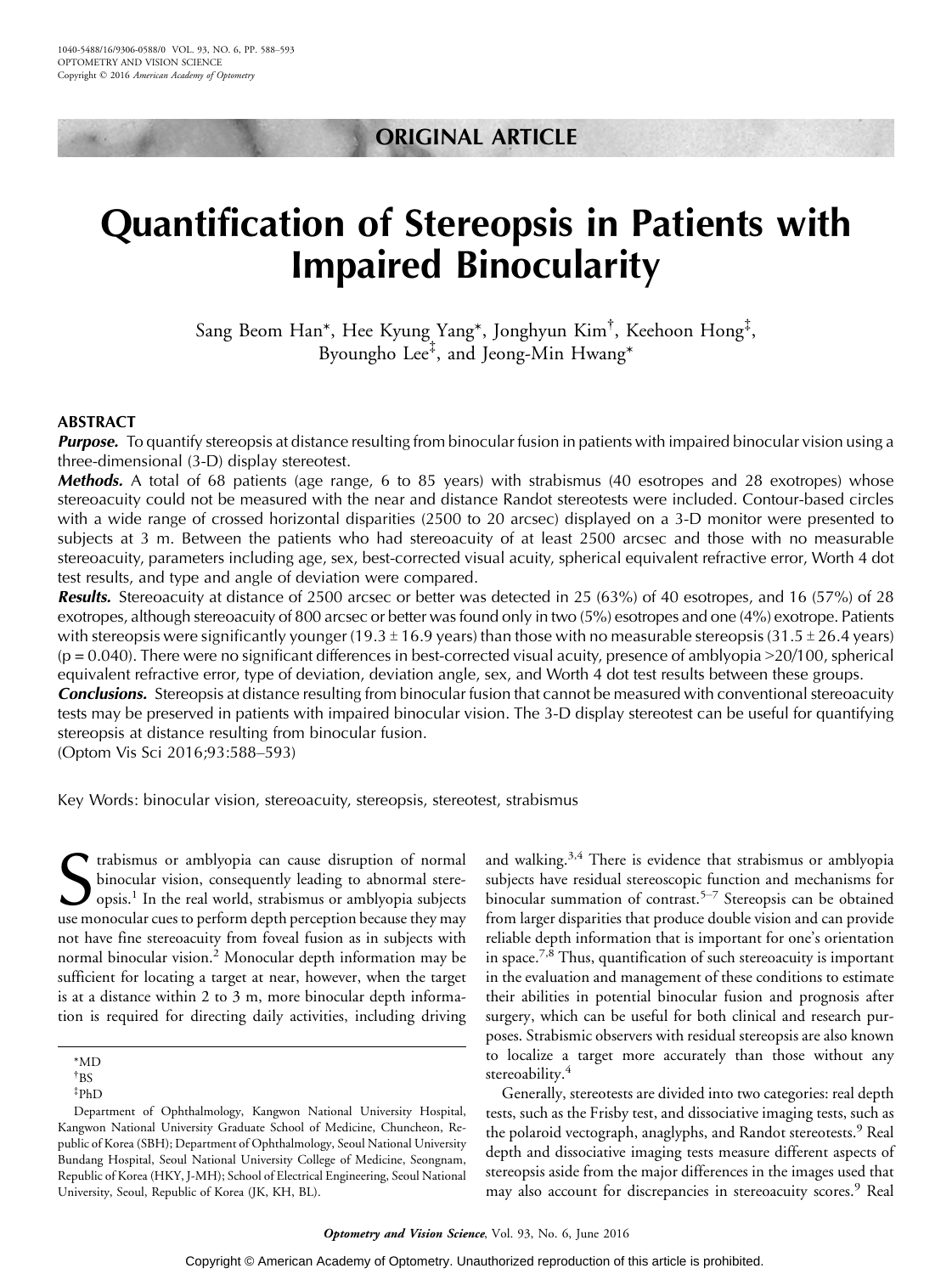# ORIGINAL ARTICLE

# Quantification of Stereopsis in Patients with Impaired Binocularity

Sang Beom Han\*, Hee Kyung Yang\*, Jonghyun Kim† , Keehoon Hong‡ , Byoungho Lee‡ , and Jeong-Min Hwang\*

## ABSTRACT

**Purpose.** To quantify stereopsis at distance resulting from binocular fusion in patients with impaired binocular vision using a three-dimensional (3-D) display stereotest.

**Methods.** A total of 68 patients (age range, 6 to 85 years) with strabismus (40 esotropes and 28 exotropes) whose stereoacuity could not be measured with the near and distance Randot stereotests were included. Contour-based circles with a wide range of crossed horizontal disparities (2500 to 20 arcsec) displayed on a 3-D monitor were presented to subjects at 3 m. Between the patients who had stereoacuity of at least 2500 arcsec and those with no measurable stereoacuity, parameters including age, sex, best-corrected visual acuity, spherical equivalent refractive error, Worth 4 dot test results, and type and angle of deviation were compared.

Results. Stereoacuity at distance of 2500 arcsec or better was detected in 25 (63%) of 40 esotropes, and 16 (57%) of 28 exotropes, although stereoacuity of 800 arcsec or better was found only in two (5%) esotropes and one (4%) exotrope. Patients with stereopsis were significantly younger (19.3  $\pm$  16.9 years) than those with no measurable stereopsis (31.5  $\pm$  26.4 years)  $(p = 0.040)$ . There were no significant differences in best-corrected visual acuity, presence of amblyopia  $>20/100$ , spherical equivalent refractive error, type of deviation, deviation angle, sex, and Worth 4 dot test results between these groups.

**Conclusions.** Stereopsis at distance resulting from binocular fusion that cannot be measured with conventional stereoacuity tests may be preserved in patients with impaired binocular vision. The 3-D display stereotest can be useful for quantifying stereopsis at distance resulting from binocular fusion.

(Optom Vis Sci 2016;93:588-593)

Key Words: binocular vision, stereoacuity, stereopsis, stereotest, strabismus

S trabismus or amblyopia can cause disruption of normal stere-<br>binocular vision, consequently leading to abnormal stere-<br>opsis.<sup>1</sup> In the real world, strabismus or amblyopia subjects<br>use monocular cues to perform depth per trabismus or amblyopia can cause disruption of normal binocular vision, consequently leading to abnormal stereopsis.<sup>1</sup> In the real world, strabismus or amblyopia subjects not have fine stereoacuity from foveal fusion as in subjects with normal binocular vision.<sup>2</sup> Monocular depth information may be sufficient for locating a target at near, however, when the target is at a distance within 2 to 3 m, more binocular depth information is required for directing daily activities, including driving

Department of Ophthalmology, Kangwon National University Hospital, Kangwon National University Graduate School of Medicine, Chuncheon, Republic of Korea (SBH); Department of Ophthalmology, Seoul National University Bundang Hospital, Seoul National University College of Medicine, Seongnam, Republic of Korea (HKY, J-MH); School of Electrical Engineering, Seoul National University, Seoul, Republic of Korea (JK, KH, BL).

and walking.<sup>3,4</sup> There is evidence that strabismus or amblyopia subjects have residual stereoscopic function and mechanisms for binocular summation of contrast.<sup>5-7</sup> Stereopsis can be obtained from larger disparities that produce double vision and can provide reliable depth information that is important for one's orientation in space.<sup>7, $\bar{8}$ </sup> Thus, quantification of such stereoacuity is important in the evaluation and management of these conditions to estimate their abilities in potential binocular fusion and prognosis after surgery, which can be useful for both clinical and research purposes. Strabismic observers with residual stereopsis are also known to localize a target more accurately than those without any stereoability.<sup>4</sup>

Generally, stereotests are divided into two categories: real depth tests, such as the Frisby test, and dissociative imaging tests, such as the polaroid vectograph, anaglyphs, and Randot stereotests.<sup>9</sup> Real depth and dissociative imaging tests measure different aspects of stereopsis aside from the major differences in the images used that may also account for discrepancies in stereoacuity scores.<sup>9</sup> Real

<sup>\*</sup>MD

<sup>†</sup> BS

<sup>‡</sup> PhD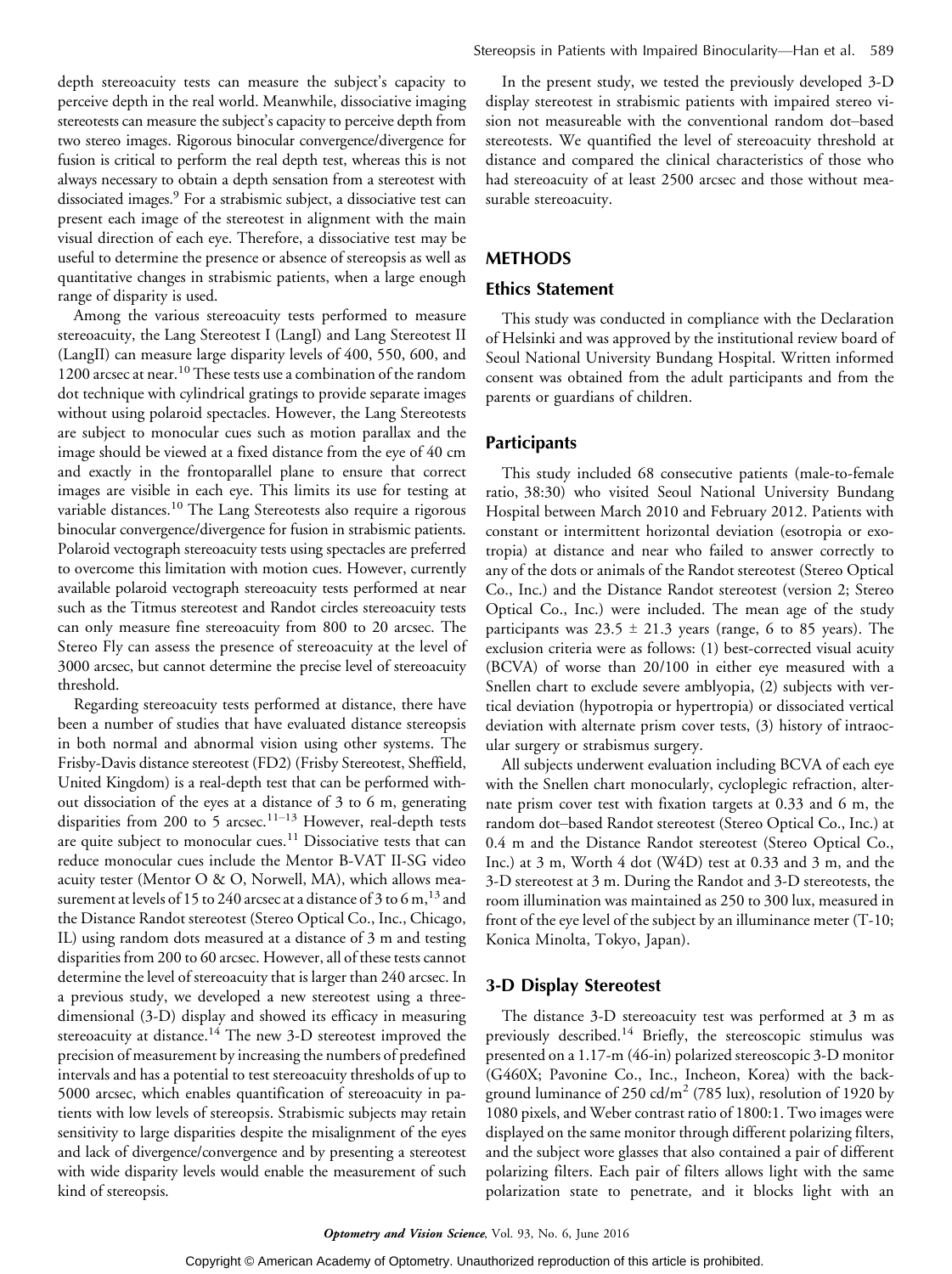depth stereoacuity tests can measure the subject's capacity to perceive depth in the real world. Meanwhile, dissociative imaging stereotests can measure the subject's capacity to perceive depth from two stereo images. Rigorous binocular convergence/divergence for fusion is critical to perform the real depth test, whereas this is not always necessary to obtain a depth sensation from a stereotest with dissociated images.<sup>9</sup> For a strabismic subject, a dissociative test can present each image of the stereotest in alignment with the main visual direction of each eye. Therefore, a dissociative test may be useful to determine the presence or absence of stereopsis as well as quantitative changes in strabismic patients, when a large enough range of disparity is used.

Among the various stereoacuity tests performed to measure stereoacuity, the Lang Stereotest I (LangI) and Lang Stereotest II (LangII) can measure large disparity levels of 400, 550, 600, and 1200 arcsec at near.<sup>10</sup> These tests use a combination of the random dot technique with cylindrical gratings to provide separate images without using polaroid spectacles. However, the Lang Stereotests are subject to monocular cues such as motion parallax and the image should be viewed at a fixed distance from the eye of 40 cm and exactly in the frontoparallel plane to ensure that correct images are visible in each eye. This limits its use for testing at variable distances.<sup>10</sup> The Lang Stereotests also require a rigorous binocular convergence/divergence for fusion in strabismic patients. Polaroid vectograph stereoacuity tests using spectacles are preferred to overcome this limitation with motion cues. However, currently available polaroid vectograph stereoacuity tests performed at near such as the Titmus stereotest and Randot circles stereoacuity tests can only measure fine stereoacuity from 800 to 20 arcsec. The Stereo Fly can assess the presence of stereoacuity at the level of 3000 arcsec, but cannot determine the precise level of stereoacuity threshold.

Regarding stereoacuity tests performed at distance, there have been a number of studies that have evaluated distance stereopsis in both normal and abnormal vision using other systems. The Frisby-Davis distance stereotest (FD2) (Frisby Stereotest, Sheffield, United Kingdom) is a real-depth test that can be performed without dissociation of the eyes at a distance of 3 to 6 m, generating disparities from 200 to 5 arcsec.<sup>11-13</sup> However, real-depth tests are quite subject to monocular cues.<sup>11</sup> Dissociative tests that can reduce monocular cues include the Mentor B-VAT II-SG video acuity tester (Mentor O & O, Norwell, MA), which allows measurement at levels of 15 to 240 arcsec at a distance of 3 to 6 m,  $^{13}$  and the Distance Randot stereotest (Stereo Optical Co., Inc., Chicago, IL) using random dots measured at a distance of 3 m and testing disparities from 200 to 60 arcsec. However, all of these tests cannot determine the level of stereoacuity that is larger than 240 arcsec. In a previous study, we developed a new stereotest using a threedimensional (3-D) display and showed its efficacy in measuring stereoacuity at distance.<sup>14</sup> The new 3-D stereotest improved the precision of measurement by increasing the numbers of predefined intervals and has a potential to test stereoacuity thresholds of up to 5000 arcsec, which enables quantification of stereoacuity in patients with low levels of stereopsis. Strabismic subjects may retain sensitivity to large disparities despite the misalignment of the eyes and lack of divergence/convergence and by presenting a stereotest with wide disparity levels would enable the measurement of such kind of stereopsis.

In the present study, we tested the previously developed 3-D display stereotest in strabismic patients with impaired stereo vision not measureable with the conventional random dot-based stereotests. We quantified the level of stereoacuity threshold at distance and compared the clinical characteristics of those who had stereoacuity of at least 2500 arcsec and those without measurable stereoacuity.

# METHODS

# Ethics Statement

This study was conducted in compliance with the Declaration of Helsinki and was approved by the institutional review board of Seoul National University Bundang Hospital. Written informed consent was obtained from the adult participants and from the parents or guardians of children.

#### **Participants**

This study included 68 consecutive patients (male-to-female ratio, 38:30) who visited Seoul National University Bundang Hospital between March 2010 and February 2012. Patients with constant or intermittent horizontal deviation (esotropia or exotropia) at distance and near who failed to answer correctly to any of the dots or animals of the Randot stereotest (Stereo Optical Co., Inc.) and the Distance Randot stereotest (version 2; Stereo Optical Co., Inc.) were included. The mean age of the study participants was  $23.5 \pm 21.3$  years (range, 6 to 85 years). The exclusion criteria were as follows: (1) best-corrected visual acuity (BCVA) of worse than 20/100 in either eye measured with a Snellen chart to exclude severe amblyopia, (2) subjects with vertical deviation (hypotropia or hypertropia) or dissociated vertical deviation with alternate prism cover tests, (3) history of intraocular surgery or strabismus surgery.

All subjects underwent evaluation including BCVA of each eye with the Snellen chart monocularly, cycloplegic refraction, alternate prism cover test with fixation targets at 0.33 and 6 m, the random dot-based Randot stereotest (Stereo Optical Co., Inc.) at 0.4 m and the Distance Randot stereotest (Stereo Optical Co., Inc.) at 3 m, Worth 4 dot (W4D) test at 0.33 and 3 m, and the 3-D stereotest at 3 m. During the Randot and 3-D stereotests, the room illumination was maintained as 250 to 300 lux, measured in front of the eye level of the subject by an illuminance meter (T-10; Konica Minolta, Tokyo, Japan).

#### 3-D Display Stereotest

The distance 3-D stereoacuity test was performed at 3 m as previously described.<sup>14</sup> Briefly, the stereoscopic stimulus was presented on a 1.17-m (46-in) polarized stereoscopic 3-D monitor (G460X; Pavonine Co., Inc., Incheon, Korea) with the background luminance of 250 cd/m<sup>2</sup> (785 lux), resolution of 1920 by 1080 pixels, and Weber contrast ratio of 1800:1. Two images were displayed on the same monitor through different polarizing filters, and the subject wore glasses that also contained a pair of different polarizing filters. Each pair of filters allows light with the same polarization state to penetrate, and it blocks light with an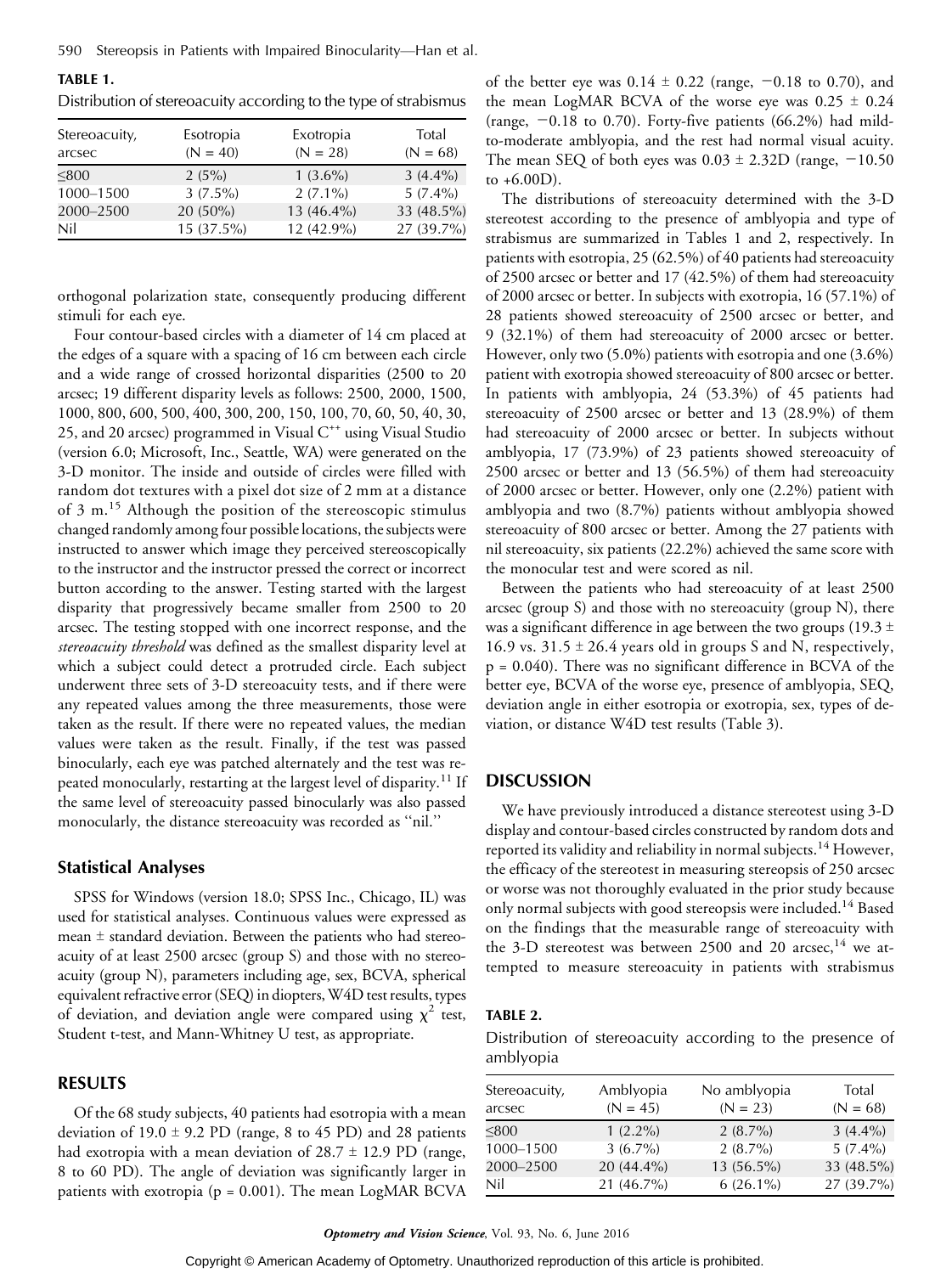| Stereoacuity,<br>arcsec | Esotropia<br>$(N = 40)$ | Exotropia<br>$(N = 28)$ | Total<br>$(N = 68)$ |
|-------------------------|-------------------------|-------------------------|---------------------|
| < 800                   | 2(5%)                   | $1(3.6\%)$              | $3(4.4\%)$          |
| 1000-1500               | $3(7.5\%)$              | $2(7.1\%)$              | $5(7.4\%)$          |
| 2000-2500               | $20(50\%)$              | 13 (46.4%)              | 33 (48.5%)          |
| Nil                     | 15 (37.5%)              | 12 (42.9%)              | 27 (39.7%)          |

Distribution of stereoacuity according to the type of strabismus

TABLE 1.

orthogonal polarization state, consequently producing different stimuli for each eye.

Four contour-based circles with a diameter of 14 cm placed at the edges of a square with a spacing of 16 cm between each circle and a wide range of crossed horizontal disparities (2500 to 20 arcsec; 19 different disparity levels as follows: 2500, 2000, 1500, 1000, 800, 600, 500, 400, 300, 200, 150, 100, 70, 60, 50, 40, 30, 25, and 20 arcsec) programmed in Visual  $C^{++}$  using Visual Studio (version 6.0; Microsoft, Inc., Seattle, WA) were generated on the 3-D monitor. The inside and outside of circles were filled with random dot textures with a pixel dot size of 2 mm at a distance of 3 m.<sup>15</sup> Although the position of the stereoscopic stimulus changed randomly among four possible locations, the subjects were instructed to answer which image they perceived stereoscopically to the instructor and the instructor pressed the correct or incorrect button according to the answer. Testing started with the largest disparity that progressively became smaller from 2500 to 20 arcsec. The testing stopped with one incorrect response, and the stereoacuity threshold was defined as the smallest disparity level at which a subject could detect a protruded circle. Each subject underwent three sets of 3-D stereoacuity tests, and if there were any repeated values among the three measurements, those were taken as the result. If there were no repeated values, the median values were taken as the result. Finally, if the test was passed binocularly, each eye was patched alternately and the test was repeated monocularly, restarting at the largest level of disparity.<sup>11</sup> If the same level of stereoacuity passed binocularly was also passed monocularly, the distance stereoacuity was recorded as ''nil.''

#### Statistical Analyses

SPSS for Windows (version 18.0; SPSS Inc., Chicago, IL) was used for statistical analyses. Continuous values were expressed as mean  $\pm$  standard deviation. Between the patients who had stereoacuity of at least 2500 arcsec (group S) and those with no stereoacuity (group N), parameters including age, sex, BCVA, spherical equivalent refractive error (SEQ) in diopters, W4D test results, types of deviation, and deviation angle were compared using  $\chi^2$  test, Student t-test, and Mann-Whitney U test, as appropriate.

## RESULTS

Of the 68 study subjects, 40 patients had esotropia with a mean deviation of  $19.0 \pm 9.2$  PD (range, 8 to 45 PD) and 28 patients had exotropia with a mean deviation of  $28.7 \pm 12.9$  PD (range, 8 to 60 PD). The angle of deviation was significantly larger in patients with exotropia ( $p = 0.001$ ). The mean LogMAR BCVA

of the better eye was  $0.14 \pm 0.22$  (range,  $-0.18$  to 0.70), and the mean LogMAR BCVA of the worse eye was  $0.25 \pm 0.24$ (range,  $-0.18$  to 0.70). Forty-five patients (66.2%) had mildto-moderate amblyopia, and the rest had normal visual acuity. The mean SEQ of both eyes was  $0.03 \pm 2.32D$  (range,  $-10.50$ ) to  $+6.00D$ ).

The distributions of stereoacuity determined with the 3-D stereotest according to the presence of amblyopia and type of strabismus are summarized in Tables 1 and 2, respectively. In patients with esotropia, 25 (62.5%) of 40 patients had stereoacuity of 2500 arcsec or better and 17 (42.5%) of them had stereoacuity of 2000 arcsec or better. In subjects with exotropia, 16 (57.1%) of 28 patients showed stereoacuity of 2500 arcsec or better, and 9 (32.1%) of them had stereoacuity of 2000 arcsec or better. However, only two (5.0%) patients with esotropia and one (3.6%) patient with exotropia showed stereoacuity of 800 arcsec or better. In patients with amblyopia, 24 (53.3%) of 45 patients had stereoacuity of 2500 arcsec or better and 13 (28.9%) of them had stereoacuity of 2000 arcsec or better. In subjects without amblyopia, 17 (73.9%) of 23 patients showed stereoacuity of 2500 arcsec or better and 13 (56.5%) of them had stereoacuity of 2000 arcsec or better. However, only one (2.2%) patient with amblyopia and two (8.7%) patients without amblyopia showed stereoacuity of 800 arcsec or better. Among the 27 patients with nil stereoacuity, six patients (22.2%) achieved the same score with the monocular test and were scored as nil.

Between the patients who had stereoacuity of at least 2500 arcsec (group S) and those with no stereoacuity (group N), there was a significant difference in age between the two groups (19.3  $\pm$ 16.9 vs.  $31.5 \pm 26.4$  years old in groups S and N, respectively, p = 0.040). There was no significant difference in BCVA of the better eye, BCVA of the worse eye, presence of amblyopia, SEQ, deviation angle in either esotropia or exotropia, sex, types of deviation, or distance W4D test results (Table 3).

#### **DISCUSSION**

We have previously introduced a distance stereotest using 3-D display and contour-based circles constructed by random dots and reported its validity and reliability in normal subjects.<sup>14</sup> However, the efficacy of the stereotest in measuring stereopsis of 250 arcsec or worse was not thoroughly evaluated in the prior study because only normal subjects with good stereopsis were included.<sup>14</sup> Based on the findings that the measurable range of stereoacuity with the 3-D stereotest was between 2500 and 20 arcsec,<sup>14</sup> we attempted to measure stereoacuity in patients with strabismus

#### TABLE 2.

Distribution of stereoacuity according to the presence of amblyopia

| Stereoacuity,<br>arcsec | Amblyopia<br>$(N = 45)$ | No amblyopia<br>$(N = 23)$ | Total<br>$(N = 68)$ |
|-------------------------|-------------------------|----------------------------|---------------------|
| < 800                   | $1(2.2\%)$              | $2(8.7\%)$                 | $3(4.4\%)$          |
| 1000-1500               | $3(6.7\%)$              | $2(8.7\%)$                 | $5(7.4\%)$          |
| 2000-2500               | $20(44.4\%)$            | $13(56.5\%)$               | 33 (48.5%)          |
| Nil                     | 21 (46.7%)              | $6(26.1\%)$                | 27 (39.7%)          |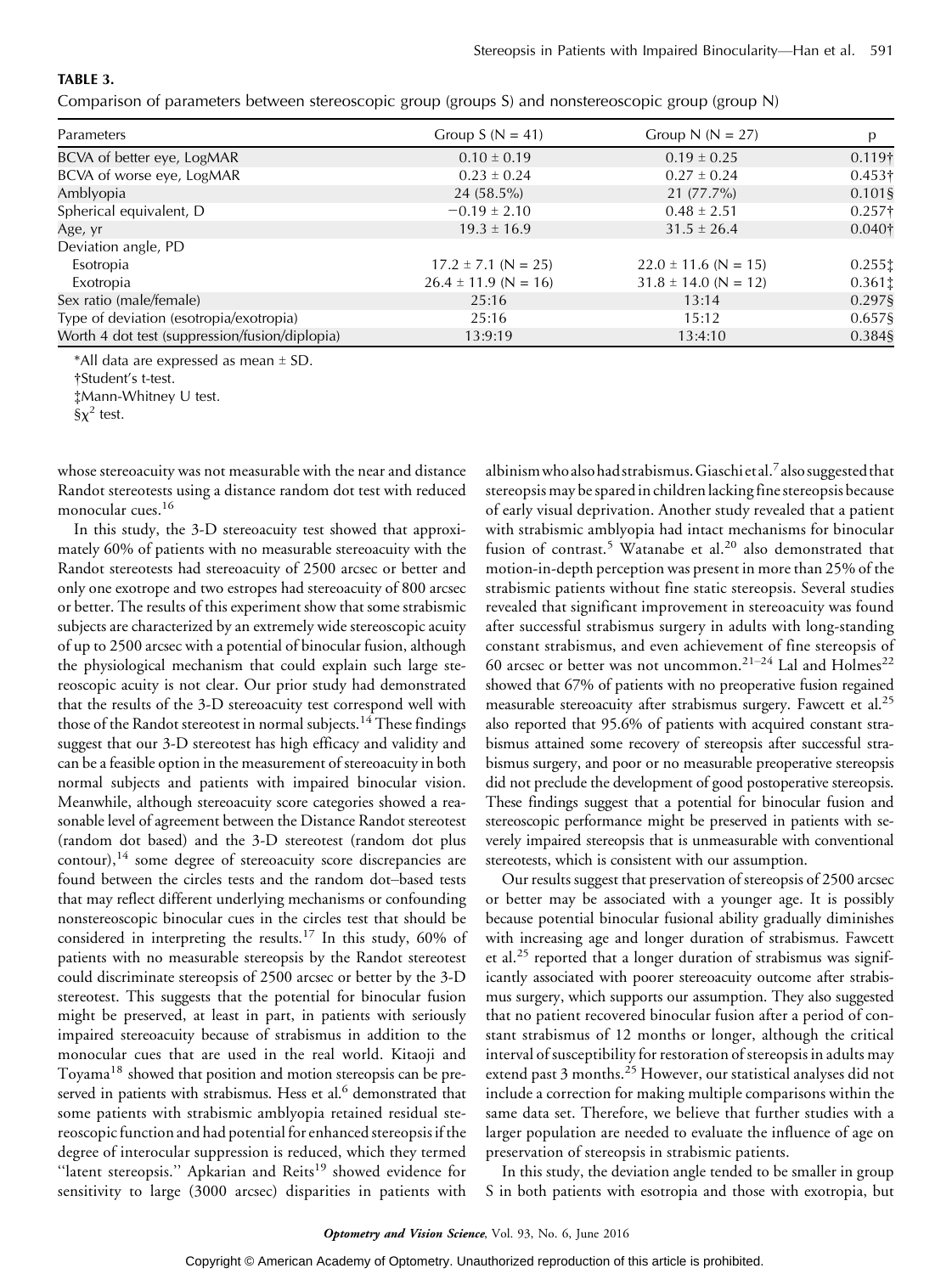# TABLE 3.

Comparison of parameters between stereoscopic group (groups S) and nonstereoscopic group (group N)

| Parameters                                     | Group $S(N = 41)$        | Group N ( $N = 27$ )     | p              |
|------------------------------------------------|--------------------------|--------------------------|----------------|
| BCVA of better eye, LogMAR                     | $0.10 \pm 0.19$          | $0.19 \pm 0.25$          | $0.119\dagger$ |
| BCVA of worse eye, LogMAR                      | $0.23 \pm 0.24$          | $0.27 \pm 0.24$          | $0.453\dagger$ |
| Amblyopia                                      | $24(58.5\%)$             | $21(77.7\%)$             | 0.101§         |
| Spherical equivalent, D                        | $-0.19 \pm 2.10$         | $0.48 \pm 2.51$          | $0.257\dagger$ |
| Age, yr                                        | $19.3 \pm 16.9$          | $31.5 \pm 26.4$          | $0.040\dagger$ |
| Deviation angle, PD                            |                          |                          |                |
| Esotropia                                      | $17.2 \pm 7.1$ (N = 25)  | $22.0 \pm 11.6$ (N = 15) | 0.2551         |
| Exotropia                                      | $26.4 \pm 11.9$ (N = 16) | $31.8 \pm 14.0$ (N = 12) | 0.361          |
| Sex ratio (male/female)                        | 25:16                    | 13:14                    | 0.297§         |
| Type of deviation (esotropia/exotropia)        | 25:16                    | 15:12                    | 0.657§         |
| Worth 4 dot test (suppression/fusion/diplopia) | 13:9:19                  | 13:4:10                  | 0.384§         |

\*All data are expressed as mean  $\pm$  SD.

‡Mann-Whitney U test.

whose stereoacuity was not measurable with the near and distance Randot stereotests using a distance random dot test with reduced monocular cues.<sup>16</sup>

In this study, the 3-D stereoacuity test showed that approximately 60% of patients with no measurable stereoacuity with the Randot stereotests had stereoacuity of 2500 arcsec or better and only one exotrope and two estropes had stereoacuity of 800 arcsec or better. The results of this experiment show that some strabismic subjects are characterized by an extremely wide stereoscopic acuity of up to 2500 arcsec with a potential of binocular fusion, although the physiological mechanism that could explain such large stereoscopic acuity is not clear. Our prior study had demonstrated that the results of the 3-D stereoacuity test correspond well with those of the Randot stereotest in normal subjects.<sup>14</sup> These findings suggest that our 3-D stereotest has high efficacy and validity and can be a feasible option in the measurement of stereoacuity in both normal subjects and patients with impaired binocular vision. Meanwhile, although stereoacuity score categories showed a reasonable level of agreement between the Distance Randot stereotest (random dot based) and the 3-D stereotest (random dot plus  $control$ ,<sup>14</sup> some degree of stereoacuity score discrepancies are found between the circles tests and the random dot-based tests that may reflect different underlying mechanisms or confounding nonstereoscopic binocular cues in the circles test that should be considered in interpreting the results.<sup>17</sup> In this study, 60% of patients with no measurable stereopsis by the Randot stereotest could discriminate stereopsis of 2500 arcsec or better by the 3-D stereotest. This suggests that the potential for binocular fusion might be preserved, at least in part, in patients with seriously impaired stereoacuity because of strabismus in addition to the monocular cues that are used in the real world. Kitaoji and Toyama<sup>18</sup> showed that position and motion stereopsis can be preserved in patients with strabismus. Hess et al.<sup>6</sup> demonstrated that some patients with strabismic amblyopia retained residual stereoscopic function and had potential for enhanced stereopsis if the degree of interocular suppression is reduced, which they termed "latent stereopsis." Apkarian and Reits<sup>19</sup> showed evidence for sensitivity to large (3000 arcsec) disparities in patients with

albinism who also had strabismus. Giaschi et al.<sup>7</sup> also suggested that stereopsis may be spared in children lacking fine stereopsis because of early visual deprivation. Another study revealed that a patient with strabismic amblyopia had intact mechanisms for binocular fusion of contrast.<sup>5</sup> Watanabe et al.<sup>20</sup> also demonstrated that motion-in-depth perception was present in more than 25% of the strabismic patients without fine static stereopsis. Several studies revealed that significant improvement in stereoacuity was found after successful strabismus surgery in adults with long-standing constant strabismus, and even achievement of fine stereopsis of 60 arcsec or better was not uncommon.<sup>21-24</sup> Lal and Holmes<sup>22</sup> showed that 67% of patients with no preoperative fusion regained measurable stereoacuity after strabismus surgery. Fawcett et al.<sup>25</sup> also reported that 95.6% of patients with acquired constant strabismus attained some recovery of stereopsis after successful strabismus surgery, and poor or no measurable preoperative stereopsis did not preclude the development of good postoperative stereopsis. These findings suggest that a potential for binocular fusion and stereoscopic performance might be preserved in patients with severely impaired stereopsis that is unmeasurable with conventional stereotests, which is consistent with our assumption.

Our results suggest that preservation of stereopsis of 2500 arcsec or better may be associated with a younger age. It is possibly because potential binocular fusional ability gradually diminishes with increasing age and longer duration of strabismus. Fawcett et al.<sup>25</sup> reported that a longer duration of strabismus was significantly associated with poorer stereoacuity outcome after strabismus surgery, which supports our assumption. They also suggested that no patient recovered binocular fusion after a period of constant strabismus of 12 months or longer, although the critical interval of susceptibility for restoration of stereopsis in adults may extend past 3 months.<sup>25</sup> However, our statistical analyses did not include a correction for making multiple comparisons within the same data set. Therefore, we believe that further studies with a larger population are needed to evaluate the influence of age on preservation of stereopsis in strabismic patients.

In this study, the deviation angle tended to be smaller in group S in both patients with esotropia and those with exotropia, but

<sup>†</sup>Student's t-test.

 $\S\chi^2$  test.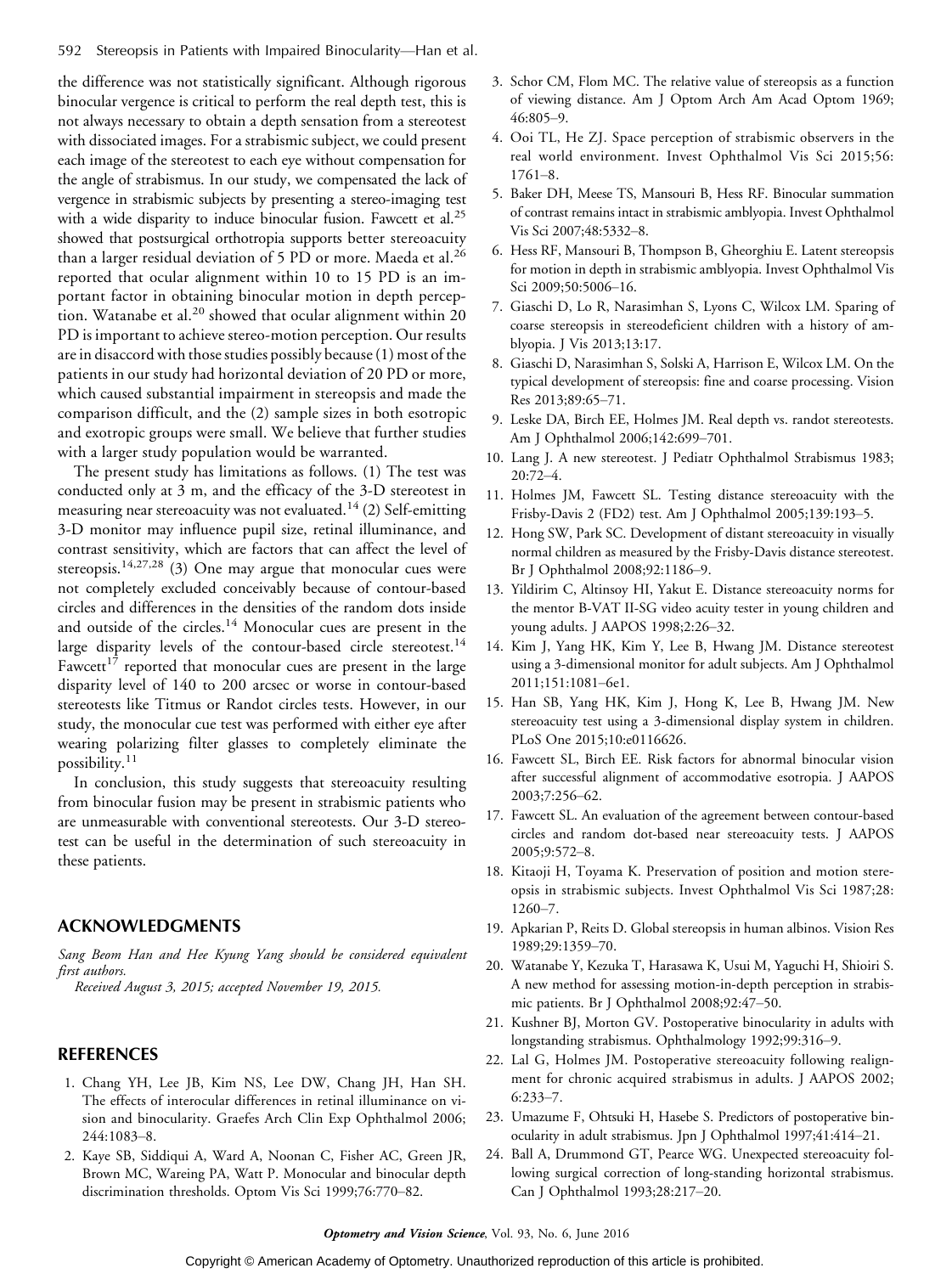the difference was not statistically significant. Although rigorous binocular vergence is critical to perform the real depth test, this is not always necessary to obtain a depth sensation from a stereotest with dissociated images. For a strabismic subject, we could present each image of the stereotest to each eye without compensation for the angle of strabismus. In our study, we compensated the lack of vergence in strabismic subjects by presenting a stereo-imaging test with a wide disparity to induce binocular fusion. Fawcett et al.<sup>25</sup> showed that postsurgical orthotropia supports better stereoacuity than a larger residual deviation of 5 PD or more. Maeda et al.<sup>26</sup> reported that ocular alignment within 10 to 15 PD is an important factor in obtaining binocular motion in depth perception. Watanabe et al.<sup>20</sup> showed that ocular alignment within 20 PD is important to achieve stereo-motion perception. Our results are in disaccord with those studies possibly because (1) most of the patients in our study had horizontal deviation of 20 PD or more, which caused substantial impairment in stereopsis and made the comparison difficult, and the (2) sample sizes in both esotropic and exotropic groups were small. We believe that further studies with a larger study population would be warranted.

The present study has limitations as follows. (1) The test was conducted only at 3 m, and the efficacy of the 3-D stereotest in measuring near stereoacuity was not evaluated.<sup>14</sup> (2) Self-emitting 3-D monitor may influence pupil size, retinal illuminance, and contrast sensitivity, which are factors that can affect the level of stereopsis.<sup>14,27,28</sup> (3) One may argue that monocular cues were not completely excluded conceivably because of contour-based circles and differences in the densities of the random dots inside and outside of the circles.<sup>14</sup> Monocular cues are present in the large disparity levels of the contour-based circle stereotest.<sup>14</sup> Fawcett<sup>17</sup> reported that monocular cues are present in the large disparity level of 140 to 200 arcsec or worse in contour-based stereotests like Titmus or Randot circles tests. However, in our study, the monocular cue test was performed with either eye after wearing polarizing filter glasses to completely eliminate the possibility.<sup>11</sup>

In conclusion, this study suggests that stereoacuity resulting from binocular fusion may be present in strabismic patients who are unmeasurable with conventional stereotests. Our 3-D stereotest can be useful in the determination of such stereoacuity in these patients.

# ACKNOWLEDGMENTS

Sang Beom Han and Hee Kyung Yang should be considered equivalent first authors.

Received August 3, 2015; accepted November 19, 2015.

# REFERENCES

- 1. Chang YH, Lee JB, Kim NS, Lee DW, Chang JH, Han SH. The effects of interocular differences in retinal illuminance on vision and binocularity. Graefes Arch Clin Exp Ophthalmol 2006; 244:1083-8.
- 2. Kaye SB, Siddiqui A, Ward A, Noonan C, Fisher AC, Green JR, Brown MC, Wareing PA, Watt P. Monocular and binocular depth discrimination thresholds. Optom Vis Sci 1999;76:770-82.
- 3. Schor CM, Flom MC. The relative value of stereopsis as a function of viewing distance. Am J Optom Arch Am Acad Optom 1969; 46:805-9.
- 4. Ooi TL, He ZJ. Space perception of strabismic observers in the real world environment. Invest Ophthalmol Vis Sci 2015;56:  $1761 - 8.$
- 5. Baker DH, Meese TS, Mansouri B, Hess RF. Binocular summation of contrast remains intact in strabismic amblyopia. Invest Ophthalmol Vis Sci 2007;48:5332-8.
- 6. Hess RF, Mansouri B, Thompson B, Gheorghiu E. Latent stereopsis for motion in depth in strabismic amblyopia. Invest Ophthalmol Vis Sci 2009;50:5006-16.
- 7. Giaschi D, Lo R, Narasimhan S, Lyons C, Wilcox LM. Sparing of coarse stereopsis in stereodeficient children with a history of amblyopia. J Vis 2013;13:17.
- 8. Giaschi D, Narasimhan S, Solski A, Harrison E, Wilcox LM. On the typical development of stereopsis: fine and coarse processing. Vision Res 2013;89:65-71.
- 9. Leske DA, Birch EE, Holmes JM. Real depth vs. randot stereotests. Am J Ophthalmol 2006;142:699-701.
- 10. Lang J. A new stereotest. J Pediatr Ophthalmol Strabismus 1983;  $20:72-4$ .
- 11. Holmes JM, Fawcett SL. Testing distance stereoacuity with the Frisby-Davis 2 (FD2) test. Am J Ophthalmol 2005;139:193-5.
- 12. Hong SW, Park SC. Development of distant stereoacuity in visually normal children as measured by the Frisby-Davis distance stereotest. Br J Ophthalmol 2008;92:1186-9.
- 13. Yildirim C, Altinsoy HI, Yakut E. Distance stereoacuity norms for the mentor B-VAT II-SG video acuity tester in young children and young adults. J AAPOS 1998;2:26-32.
- 14. Kim J, Yang HK, Kim Y, Lee B, Hwang JM. Distance stereotest using a 3-dimensional monitor for adult subjects. Am J Ophthalmol 2011;151:1081-6e1.
- 15. Han SB, Yang HK, Kim J, Hong K, Lee B, Hwang JM. New stereoacuity test using a 3-dimensional display system in children. PLoS One 2015;10:e0116626.
- 16. Fawcett SL, Birch EE. Risk factors for abnormal binocular vision after successful alignment of accommodative esotropia. J AAPOS 2003;7:256-62.
- 17. Fawcett SL. An evaluation of the agreement between contour-based circles and random dot-based near stereoacuity tests. J AAPOS 2005;9:572-8.
- 18. Kitaoji H, Toyama K. Preservation of position and motion stereopsis in strabismic subjects. Invest Ophthalmol Vis Sci 1987;28:  $1260 - 7$ .
- 19. Apkarian P, Reits D. Global stereopsis in human albinos. Vision Res 1989;29:1359-70.
- 20. Watanabe Y, Kezuka T, Harasawa K, Usui M, Yaguchi H, Shioiri S. A new method for assessing motion-in-depth perception in strabismic patients. Br J Ophthalmol 2008;92:47-50.
- 21. Kushner BJ, Morton GV. Postoperative binocularity in adults with longstanding strabismus. Ophthalmology 1992;99:316-9.
- 22. Lal G, Holmes JM. Postoperative stereoacuity following realignment for chronic acquired strabismus in adults. J AAPOS 2002;  $6:233 - 7$ .
- 23. Umazume F, Ohtsuki H, Hasebe S. Predictors of postoperative binocularity in adult strabismus. Jpn J Ophthalmol 1997;41:414-21.
- 24. Ball A, Drummond GT, Pearce WG. Unexpected stereoacuity following surgical correction of long-standing horizontal strabismus. Can J Ophthalmol 1993;28:217-20.